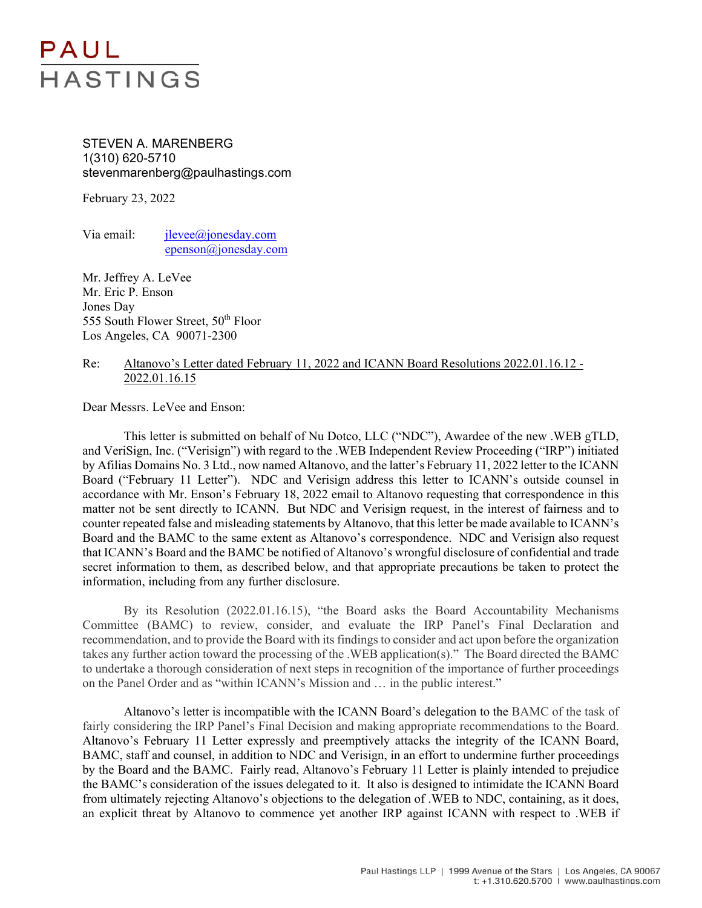#### STEVEN A. MARENBERG 1(310) 620-5710 stevenmarenberg@paulhastings.com

February 23, 2022

Via email: jlevee@jonesday.com epenson@jonesday.com

Mr. Jeffrey A. LeVee Mr. Eric P. Enson Jones Day 555 South Flower Street, 50<sup>th</sup> Floor Los Angeles, CA 90071-2300

#### Re: Altanovo's Letter dated February 11, 2022 and ICANN Board Resolutions 2022.01.16.12 - 2022.01.16.15

Dear Messrs. LeVee and Enson:

This letter is submitted on behalf of Nu Dotco, LLC ("NDC"), Awardee of the new .WEB gTLD, and VeriSign, Inc. ("Verisign") with regard to the .WEB Independent Review Proceeding ("IRP") initiated by Afilias Domains No. 3 Ltd., now named Altanovo, and the latter's February 11, 2022 letter to the ICANN Board ("February 11 Letter"). NDC and Verisign address this letter to ICANN's outside counsel in accordance with Mr. Enson's February 18, 2022 email to Altanovo requesting that correspondence in this matter not be sent directly to ICANN. But NDC and Verisign request, in the interest of fairness and to counter repeated false and misleading statements by Altanovo, that this letter be made available to ICANN's Board and the BAMC to the same extent as Altanovo's correspondence. NDC and Verisign also request that ICANN's Board and the BAMC be notified of Altanovo's wrongful disclosure of confidential and trade secret information to them, as described below, and that appropriate precautions be taken to protect the information, including from any further disclosure.

By its Resolution (2022.01.16.15), "the Board asks the Board Accountability Mechanisms Committee (BAMC) to review, consider, and evaluate the IRP Panel's Final Declaration and recommendation, and to provide the Board with its findings to consider and act upon before the organization takes any further action toward the processing of the .WEB application(s)." The Board directed the BAMC to undertake a thorough consideration of next steps in recognition of the importance of further proceedings on the Panel Order and as "within ICANN's Mission and … in the public interest."

Altanovo's letter is incompatible with the ICANN Board's delegation to the BAMC of the task of fairly considering the IRP Panel's Final Decision and making appropriate recommendations to the Board. Altanovo's February 11 Letter expressly and preemptively attacks the integrity of the ICANN Board, BAMC, staff and counsel, in addition to NDC and Verisign, in an effort to undermine further proceedings by the Board and the BAMC. Fairly read, Altanovo's February 11 Letter is plainly intended to prejudice the BAMC's consideration of the issues delegated to it. It also is designed to intimidate the ICANN Board from ultimately rejecting Altanovo's objections to the delegation of .WEB to NDC, containing, as it does, an explicit threat by Altanovo to commence yet another IRP against ICANN with respect to .WEB if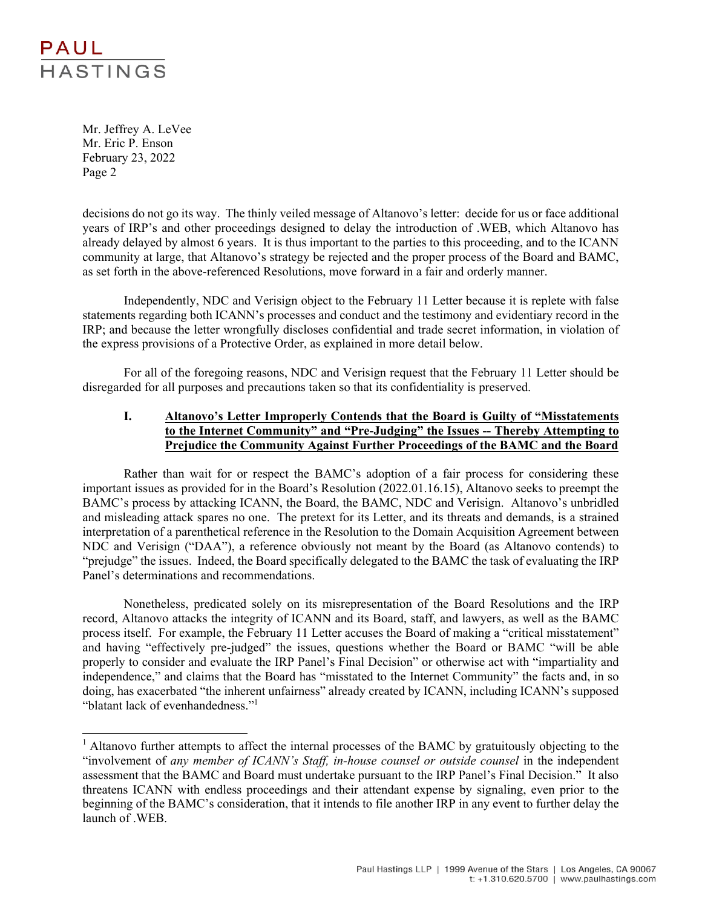l

Mr. Jeffrey A. LeVee Mr. Eric P. Enson February 23, 2022 Page 2

decisions do not go its way. The thinly veiled message of Altanovo's letter: decide for us or face additional years of IRP's and other proceedings designed to delay the introduction of .WEB, which Altanovo has already delayed by almost 6 years. It is thus important to the parties to this proceeding, and to the ICANN community at large, that Altanovo's strategy be rejected and the proper process of the Board and BAMC, as set forth in the above-referenced Resolutions, move forward in a fair and orderly manner.

Independently, NDC and Verisign object to the February 11 Letter because it is replete with false statements regarding both ICANN's processes and conduct and the testimony and evidentiary record in the IRP; and because the letter wrongfully discloses confidential and trade secret information, in violation of the express provisions of a Protective Order, as explained in more detail below.

For all of the foregoing reasons, NDC and Verisign request that the February 11 Letter should be disregarded for all purposes and precautions taken so that its confidentiality is preserved.

#### **I. Altanovo's Letter Improperly Contends that the Board is Guilty of "Misstatements to the Internet Community" and "Pre-Judging" the Issues -- Thereby Attempting to Prejudice the Community Against Further Proceedings of the BAMC and the Board**

Rather than wait for or respect the BAMC's adoption of a fair process for considering these important issues as provided for in the Board's Resolution (2022.01.16.15), Altanovo seeks to preempt the BAMC's process by attacking ICANN, the Board, the BAMC, NDC and Verisign. Altanovo's unbridled and misleading attack spares no one. The pretext for its Letter, and its threats and demands, is a strained interpretation of a parenthetical reference in the Resolution to the Domain Acquisition Agreement between NDC and Verisign ("DAA"), a reference obviously not meant by the Board (as Altanovo contends) to "prejudge" the issues. Indeed, the Board specifically delegated to the BAMC the task of evaluating the IRP Panel's determinations and recommendations.

Nonetheless, predicated solely on its misrepresentation of the Board Resolutions and the IRP record, Altanovo attacks the integrity of ICANN and its Board, staff, and lawyers, as well as the BAMC process itself. For example, the February 11 Letter accuses the Board of making a "critical misstatement" and having "effectively pre-judged" the issues, questions whether the Board or BAMC "will be able properly to consider and evaluate the IRP Panel's Final Decision" or otherwise act with "impartiality and independence," and claims that the Board has "misstated to the Internet Community" the facts and, in so doing, has exacerbated "the inherent unfairness" already created by ICANN, including ICANN's supposed "blatant lack of evenhandedness."<sup>1</sup>

<sup>&</sup>lt;sup>1</sup> Altanovo further attempts to affect the internal processes of the BAMC by gratuitously objecting to the "involvement of *any member of ICANN's Staff, in-house counsel or outside counsel* in the independent assessment that the BAMC and Board must undertake pursuant to the IRP Panel's Final Decision." It also threatens ICANN with endless proceedings and their attendant expense by signaling, even prior to the beginning of the BAMC's consideration, that it intends to file another IRP in any event to further delay the launch of .WEB.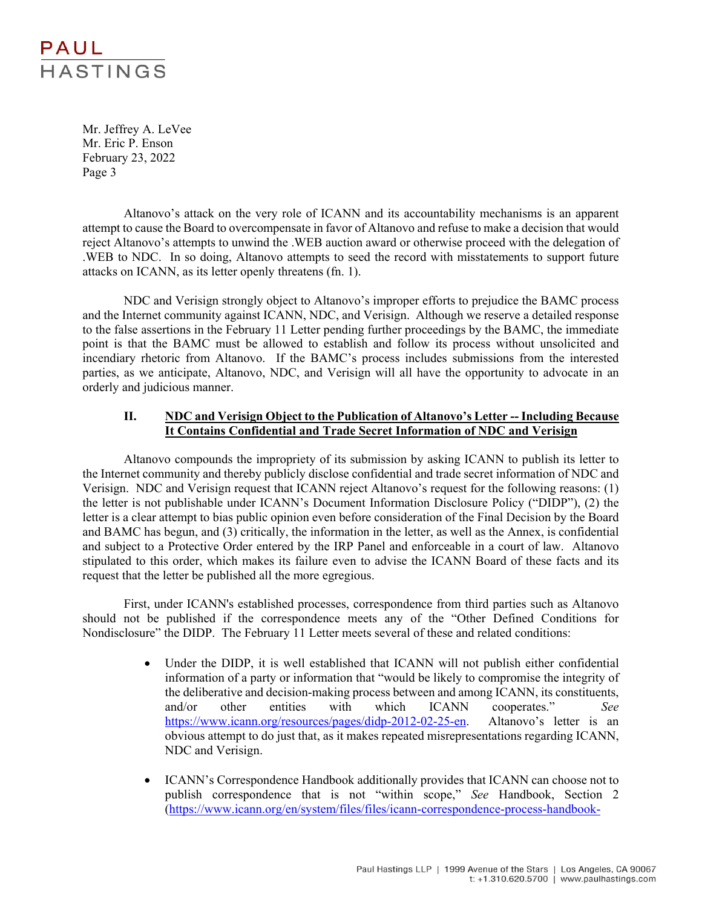Mr. Jeffrey A. LeVee Mr. Eric P. Enson February 23, 2022 Page 3

Altanovo's attack on the very role of ICANN and its accountability mechanisms is an apparent attempt to cause the Board to overcompensate in favor of Altanovo and refuse to make a decision that would reject Altanovo's attempts to unwind the .WEB auction award or otherwise proceed with the delegation of .WEB to NDC. In so doing, Altanovo attempts to seed the record with misstatements to support future attacks on ICANN, as its letter openly threatens (fn. 1).

NDC and Verisign strongly object to Altanovo's improper efforts to prejudice the BAMC process and the Internet community against ICANN, NDC, and Verisign. Although we reserve a detailed response to the false assertions in the February 11 Letter pending further proceedings by the BAMC, the immediate point is that the BAMC must be allowed to establish and follow its process without unsolicited and incendiary rhetoric from Altanovo. If the BAMC's process includes submissions from the interested parties, as we anticipate, Altanovo, NDC, and Verisign will all have the opportunity to advocate in an orderly and judicious manner.

#### **II. NDC and Verisign Object to the Publication of Altanovo's Letter -- Including Because It Contains Confidential and Trade Secret Information of NDC and Verisign**

Altanovo compounds the impropriety of its submission by asking ICANN to publish its letter to the Internet community and thereby publicly disclose confidential and trade secret information of NDC and Verisign. NDC and Verisign request that ICANN reject Altanovo's request for the following reasons: (1) the letter is not publishable under ICANN's Document Information Disclosure Policy ("DIDP"), (2) the letter is a clear attempt to bias public opinion even before consideration of the Final Decision by the Board and BAMC has begun, and (3) critically, the information in the letter, as well as the Annex, is confidential and subject to a Protective Order entered by the IRP Panel and enforceable in a court of law. Altanovo stipulated to this order, which makes its failure even to advise the ICANN Board of these facts and its request that the letter be published all the more egregious.

First, under ICANN's established processes, correspondence from third parties such as Altanovo should not be published if the correspondence meets any of the "Other Defined Conditions for Nondisclosure" the DIDP. The February 11 Letter meets several of these and related conditions:

- Under the DIDP, it is well established that ICANN will not publish either confidential information of a party or information that "would be likely to compromise the integrity of the deliberative and decision-making process between and among ICANN, its constituents, and/or other entities with which ICANN cooperates." *See* https://www.icann.org/resources/pages/didp-2012-02-25-en. Altanovo's letter is an obvious attempt to do just that, as it makes repeated misrepresentations regarding ICANN, NDC and Verisign.
- ICANN's Correspondence Handbook additionally provides that ICANN can choose not to publish correspondence that is not "within scope," *See* Handbook, Section 2 (https://www.icann.org/en/system/files/files/icann-correspondence-process-handbook-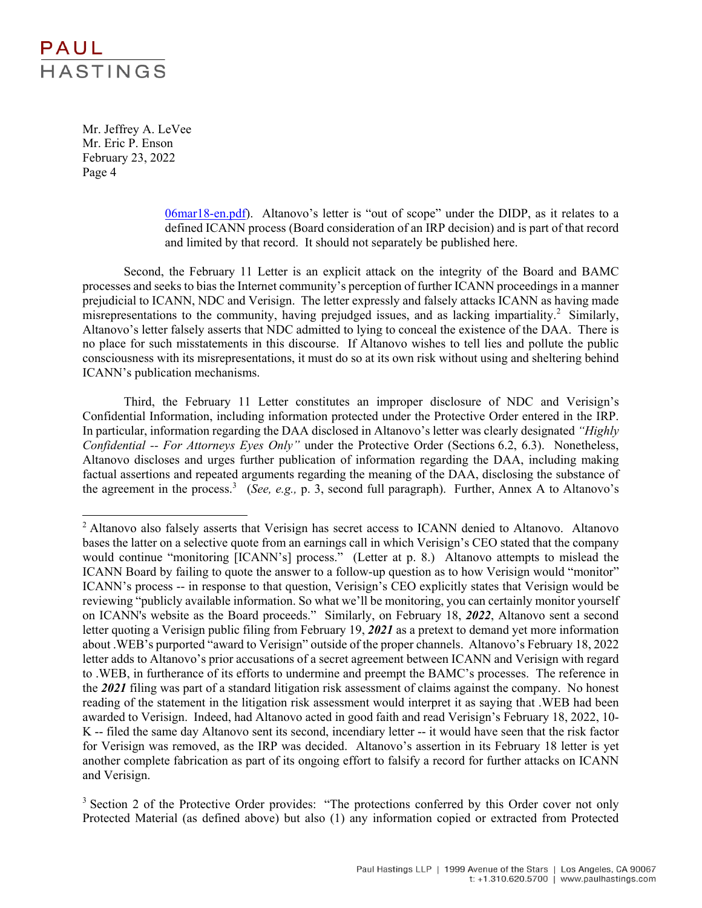l

Mr. Jeffrey A. LeVee Mr. Eric P. Enson February 23, 2022 Page 4

> 06mar18-en.pdf). Altanovo's letter is "out of scope" under the DIDP, as it relates to a defined ICANN process (Board consideration of an IRP decision) and is part of that record and limited by that record. It should not separately be published here.

Second, the February 11 Letter is an explicit attack on the integrity of the Board and BAMC processes and seeks to bias the Internet community's perception of further ICANN proceedings in a manner prejudicial to ICANN, NDC and Verisign. The letter expressly and falsely attacks ICANN as having made misrepresentations to the community, having prejudged issues, and as lacking impartiality.<sup>2</sup> Similarly, Altanovo's letter falsely asserts that NDC admitted to lying to conceal the existence of the DAA. There is no place for such misstatements in this discourse. If Altanovo wishes to tell lies and pollute the public consciousness with its misrepresentations, it must do so at its own risk without using and sheltering behind ICANN's publication mechanisms.

Third, the February 11 Letter constitutes an improper disclosure of NDC and Verisign's Confidential Information, including information protected under the Protective Order entered in the IRP. In particular, information regarding the DAA disclosed in Altanovo's letter was clearly designated *"Highly Confidential -- For Attorneys Eyes Only"* under the Protective Order (Sections 6.2, 6.3). Nonetheless, Altanovo discloses and urges further publication of information regarding the DAA, including making factual assertions and repeated arguments regarding the meaning of the DAA, disclosing the substance of the agreement in the process.<sup>3</sup> (*See, e.g., p. 3, second full paragraph*). Further, Annex A to Altanovo's

<sup>3</sup> Section 2 of the Protective Order provides: "The protections conferred by this Order cover not only Protected Material (as defined above) but also (1) any information copied or extracted from Protected

<sup>&</sup>lt;sup>2</sup> Altanovo also falsely asserts that Verisign has secret access to ICANN denied to Altanovo. Altanovo bases the latter on a selective quote from an earnings call in which Verisign's CEO stated that the company would continue "monitoring [ICANN's] process." (Letter at p. 8.) Altanovo attempts to mislead the ICANN Board by failing to quote the answer to a follow-up question as to how Verisign would "monitor" ICANN's process -- in response to that question, Verisign's CEO explicitly states that Verisign would be reviewing "publicly available information. So what we'll be monitoring, you can certainly monitor yourself on ICANN's website as the Board proceeds." Similarly, on February 18, *2022*, Altanovo sent a second letter quoting a Verisign public filing from February 19, *2021* as a pretext to demand yet more information about .WEB's purported "award to Verisign" outside of the proper channels. Altanovo's February 18, 2022 letter adds to Altanovo's prior accusations of a secret agreement between ICANN and Verisign with regard to .WEB, in furtherance of its efforts to undermine and preempt the BAMC's processes. The reference in the *2021* filing was part of a standard litigation risk assessment of claims against the company. No honest reading of the statement in the litigation risk assessment would interpret it as saying that .WEB had been awarded to Verisign. Indeed, had Altanovo acted in good faith and read Verisign's February 18, 2022, 10- K -- filed the same day Altanovo sent its second, incendiary letter -- it would have seen that the risk factor for Verisign was removed, as the IRP was decided. Altanovo's assertion in its February 18 letter is yet another complete fabrication as part of its ongoing effort to falsify a record for further attacks on ICANN and Verisign.